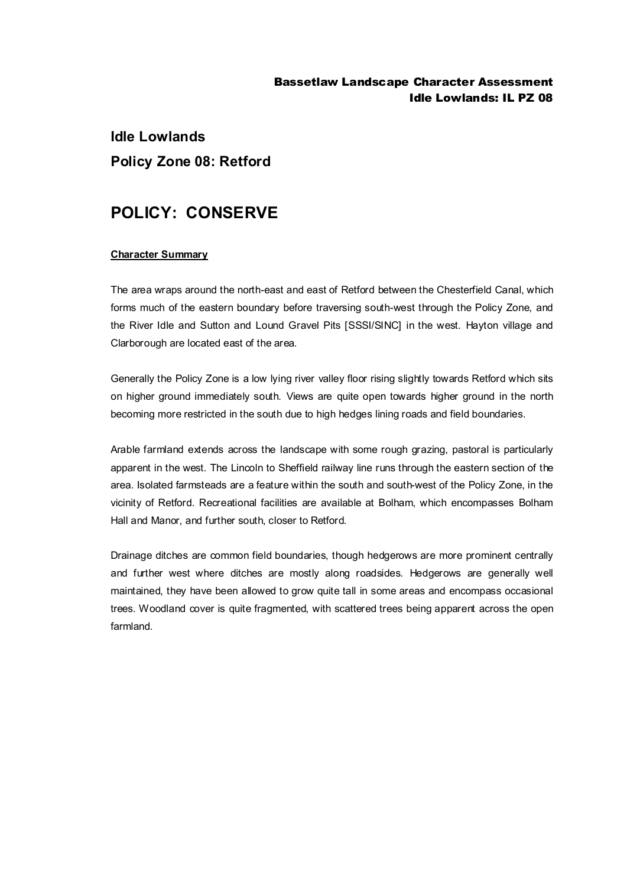### Bassetlaw Landscape Character Assessment Idle Lowlands: IL PZ 08

# **Idle Lowlands Policy Zone 08: Retford**

# **POLICY: CONSERVE**

### **Character Summary**

The area wraps around the north-east and east of Retford between the Chesterfield Canal, which forms much of the eastern boundary before traversing south-west through the Policy Zone, and the River Idle and Sutton and Lound Gravel Pits [SSSI/SINC] in the west. Hayton village and Clarborough are located east of the area.

Generally the Policy Zone is a low lying river valley floor rising slightly towards Retford which sits on higher ground immediately south. Views are quite open towards higher ground in the north becoming more restricted in the south due to high hedges lining roads and field boundaries.

Arable farmland extends across the landscape with some rough grazing, pastoral is particularly apparent in the west. The Lincoln to Sheffield railway line runs through the eastern section of the area. Isolated farmsteads are a feature within the south and south-west of the Policy Zone, in the vicinity of Retford. Recreational facilities are available at Bolham, which encompasses Bolham Hall and Manor, and further south, closer to Retford.

Drainage ditches are common field boundaries, though hedgerows are more prominent centrally and further west where ditches are mostly along roadsides. Hedgerows are generally well maintained, they have been allowed to grow quite tall in some areas and encompass occasional trees. Woodland cover is quite fragmented, with scattered trees being apparent across the open farmland.